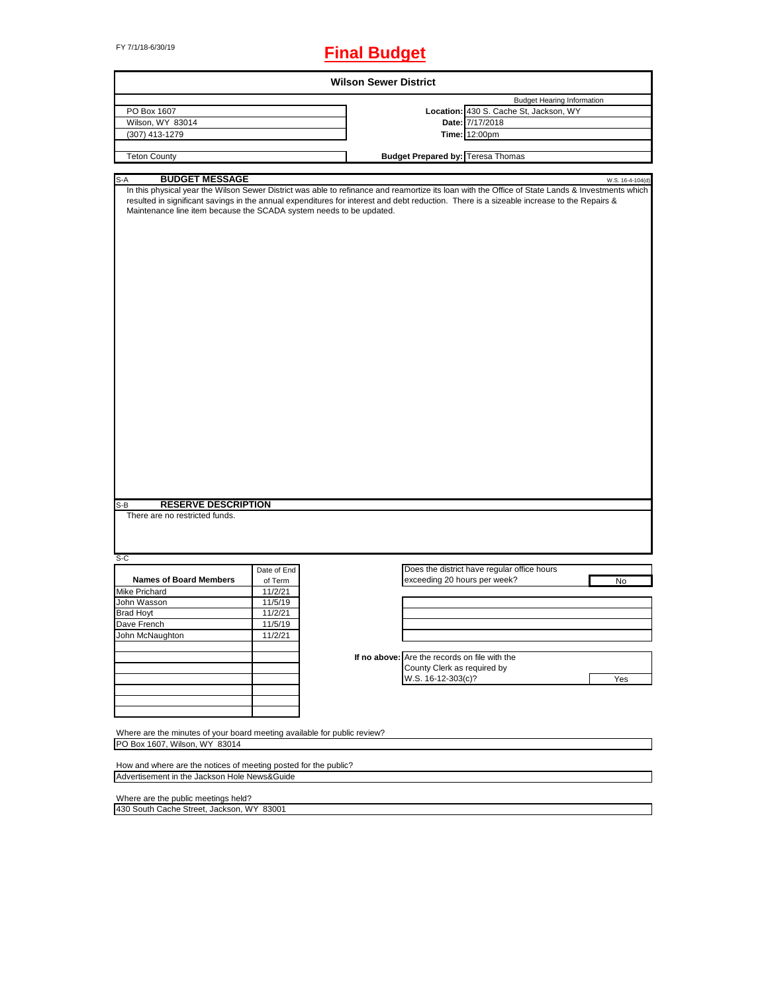# FY 7/1/18-6/30/19 **Final Budget**

|                                                                                                           |             |                                               | <b>Budget Hearing Information</b>                                                                                                                                    |
|-----------------------------------------------------------------------------------------------------------|-------------|-----------------------------------------------|----------------------------------------------------------------------------------------------------------------------------------------------------------------------|
| PO Box 1607                                                                                               |             |                                               | Location: 430 S. Cache St, Jackson, WY                                                                                                                               |
| Wilson, WY 83014                                                                                          |             |                                               | Date: 7/17/2018                                                                                                                                                      |
| (307) 413-1279                                                                                            |             |                                               | <b>Time: 12:00pm</b>                                                                                                                                                 |
| <b>Teton County</b>                                                                                       |             | <b>Budget Prepared by: Teresa Thomas</b>      |                                                                                                                                                                      |
|                                                                                                           |             |                                               |                                                                                                                                                                      |
| <b>BUDGET MESSAGE</b><br>S-A                                                                              |             |                                               | W.S. 16-4-104(d)<br>In this physical year the Wilson Sewer District was able to refinance and reamortize its loan with the Office of State Lands & Investments which |
| Maintenance line item because the SCADA system needs to be updated.                                       |             |                                               | resulted in significant savings in the annual expenditures for interest and debt reduction. There is a sizeable increase to the Repairs &                            |
|                                                                                                           |             |                                               |                                                                                                                                                                      |
|                                                                                                           |             |                                               |                                                                                                                                                                      |
| <b>RESERVE DESCRIPTION</b>                                                                                |             |                                               |                                                                                                                                                                      |
| There are no restricted funds.                                                                            |             |                                               |                                                                                                                                                                      |
|                                                                                                           | Date of End |                                               | Does the district have regular office hours                                                                                                                          |
| <b>Names of Board Members</b>                                                                             | of Term     |                                               | exceeding 20 hours per week?<br>No                                                                                                                                   |
|                                                                                                           | 11/2/21     |                                               |                                                                                                                                                                      |
|                                                                                                           | 11/5/19     |                                               |                                                                                                                                                                      |
|                                                                                                           | 11/2/21     |                                               |                                                                                                                                                                      |
|                                                                                                           | 11/5/19     |                                               |                                                                                                                                                                      |
|                                                                                                           | 11/2/21     |                                               |                                                                                                                                                                      |
|                                                                                                           |             |                                               |                                                                                                                                                                      |
|                                                                                                           |             | If no above: Are the records on file with the |                                                                                                                                                                      |
|                                                                                                           |             |                                               | County Clerk as required by                                                                                                                                          |
|                                                                                                           |             | W.S. 16-12-303(c)?                            | Yes                                                                                                                                                                  |
| S-B<br>S-C<br>Mike Prichard<br>John Wasson<br><b>Brad Hoyt</b><br>Dave French<br>John McNaughton          |             |                                               |                                                                                                                                                                      |
|                                                                                                           |             |                                               |                                                                                                                                                                      |
|                                                                                                           |             |                                               |                                                                                                                                                                      |
| Where are the minutes of your board meeting available for public review?<br>PO Box 1607, Wilson, WY 83014 |             |                                               |                                                                                                                                                                      |

Where are the public meetings held?

430 South Cache Street, Jackson, WY 83001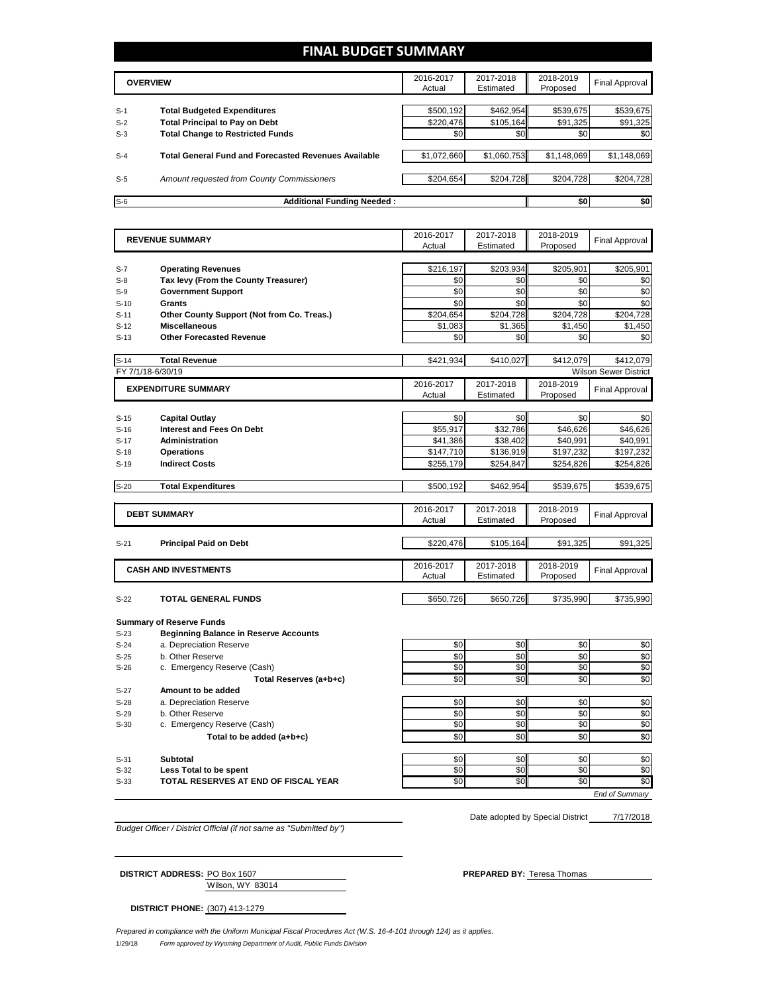# **FINAL BUDGET SUMMARY**

|       | <b>OVERVIEW</b>                                             |             | 2017-2018<br>Estimated | 2018-2019<br>Proposed | Final Approval |
|-------|-------------------------------------------------------------|-------------|------------------------|-----------------------|----------------|
|       |                                                             |             |                        |                       |                |
| $S-1$ | <b>Total Budgeted Expenditures</b>                          | \$500,192   | \$462,954              | \$539,675             | \$539,675      |
| $S-2$ | <b>Total Principal to Pay on Debt</b>                       | \$220,476   | \$105,164              | \$91,325              | \$91,325       |
| $S-3$ | <b>Total Change to Restricted Funds</b>                     | \$0         | \$0                    | \$0 <sub>1</sub>      | \$0            |
|       |                                                             |             |                        |                       |                |
| $S-4$ | <b>Total General Fund and Forecasted Revenues Available</b> | \$1,072,660 | \$1,060,753            | \$1,148,069           | \$1,148,069    |
|       |                                                             |             |                        |                       |                |
| $S-5$ | Amount requested from County Commissioners                  | \$204,654   | \$204.728              | \$204,728             | \$204,728      |
|       |                                                             |             |                        |                       |                |
| $S-6$ | <b>Additional Funding Needed:</b>                           |             |                        | \$0                   | \$0            |

|                | <b>REVENUE SUMMARY</b>                                             | 2016-2017        | 2017-2018        | 2018-2019        | <b>Final Approval</b>        |
|----------------|--------------------------------------------------------------------|------------------|------------------|------------------|------------------------------|
|                |                                                                    | Actual           | Estimated        | Proposed         |                              |
|                |                                                                    |                  |                  |                  |                              |
| $S-7$<br>$S-8$ | <b>Operating Revenues</b><br>Tax levy (From the County Treasurer)  | \$216,197<br>\$0 | \$203,934<br>\$0 | \$205,901<br>\$0 | \$205,901<br>\$0             |
| $S-9$          | <b>Government Support</b>                                          | \$0              | \$0              | \$0              | \$0                          |
|                | <b>Grants</b>                                                      | \$0              | \$0              | \$0              | \$0                          |
| $S-10$         |                                                                    | \$204,654        | \$204,728        | \$204,728        | \$204,728                    |
| $S-11$         | Other County Support (Not from Co. Treas.)<br><b>Miscellaneous</b> |                  | \$1,365          |                  | \$1,450                      |
| $S-12$         |                                                                    | \$1,083          |                  | \$1,450          |                              |
| $S-13$         | <b>Other Forecasted Revenue</b>                                    | \$0              | \$0              | \$0              | \$0                          |
| $S-14$         | <b>Total Revenue</b>                                               | \$421,934        | \$410,027        | \$412.079        | \$412.079                    |
|                | FY 7/1/18-6/30/19                                                  |                  |                  |                  | <b>Wilson Sewer District</b> |
|                | <b>EXPENDITURE SUMMARY</b>                                         | 2016-2017        | 2017-2018        | 2018-2019        | <b>Final Approval</b>        |
|                |                                                                    | Actual           | Estimated        | Proposed         |                              |
|                |                                                                    |                  |                  |                  |                              |
| $S-15$         | <b>Capital Outlay</b>                                              | \$0              | \$0              | \$0              | \$0                          |
| $S-16$         | <b>Interest and Fees On Debt</b>                                   | \$55,917         | \$32,786         | \$46,626         | \$46,626                     |
| $S-17$         | <b>Administration</b>                                              | \$41,386         | \$38,402         | \$40,991         | \$40,991                     |
| $S-18$         | <b>Operations</b>                                                  | \$147,710        | \$136,919        | \$197,232        | \$197,232                    |
| $S-19$         | <b>Indirect Costs</b>                                              | \$255,179        | \$254,847        | \$254,826        | \$254,826                    |
| $S-20$         | <b>Total Expenditures</b>                                          | \$500.192        | \$462,954        | \$539,675        | \$539,675                    |
|                |                                                                    |                  |                  |                  |                              |
|                | <b>DEBT SUMMARY</b>                                                | 2016-2017        | 2017-2018        | 2018-2019        | <b>Final Approval</b>        |
|                |                                                                    | Actual           | Estimated        | Proposed         |                              |
|                |                                                                    |                  |                  |                  |                              |
| $S-21$         | <b>Principal Paid on Debt</b>                                      | \$220,476        | \$105,164        | \$91,325         | \$91,325                     |
|                |                                                                    | 2016-2017        | 2017-2018        | 2018-2019        |                              |
|                | <b>CASH AND INVESTMENTS</b>                                        | Actual           | Estimated        | Proposed         | <b>Final Approval</b>        |
|                |                                                                    |                  |                  |                  |                              |
| $S-22$         | <b>TOTAL GENERAL FUNDS</b>                                         | \$650,726        | \$650,726        | \$735,990        | \$735,990                    |
|                | <b>Summary of Reserve Funds</b>                                    |                  |                  |                  |                              |
| $S-23$         | <b>Beginning Balance in Reserve Accounts</b>                       |                  |                  |                  |                              |
| $S-24$         | a. Depreciation Reserve                                            | \$0              | \$0              | \$0              | \$0                          |
| $S-25$         | b. Other Reserve                                                   | \$0              | \$0              | \$0              | \$0                          |
| $S-26$         | c. Emergency Reserve (Cash)                                        | \$0              | \$0              | \$0              | \$0                          |
|                | Total Reserves (a+b+c)                                             | \$0              | \$0              | \$0              | \$0                          |
| $S-27$         | Amount to be added                                                 |                  |                  |                  |                              |
| $S-28$         | a. Depreciation Reserve                                            | \$0              | \$0              | \$0              | \$0                          |
| $S-29$         | b. Other Reserve                                                   | \$0              | \$0              | \$0              | \$0                          |
| $S-30$         | c. Emergency Reserve (Cash)                                        | \$0              | \$0              | \$0              | \$0                          |
|                | Total to be added (a+b+c)                                          | \$0              | \$0              | \$0              | \$0                          |
|                |                                                                    |                  |                  |                  |                              |
| $S-31$         | <b>Subtotal</b>                                                    | \$0              | \$0              | \$0              | \$0                          |
| $S-32$         | Less Total to be spent                                             | \$0              | \$0              | \$0              | \$0                          |
|                |                                                                    |                  |                  |                  |                              |
| $S-33$         | <b>TOTAL RESERVES AT END OF FISCAL YEAR</b>                        | \$0              | \$0              | \$0              | \$0                          |

*Budget Officer / District Official (if not same as "Submitted by")*

Date adopted by Special District 7/17/2018

Wilson, WY 83014 **DISTRICT ADDRESS:** PO Box 1607 **PREPARED BY:** Teresa Thomas

**DISTRICT PHONE:** (307) 413-1279

1/29/18 *Form approved by Wyoming Department of Audit, Public Funds Division Prepared in compliance with the Uniform Municipal Fiscal Procedures Act (W.S. 16-4-101 through 124) as it applies.*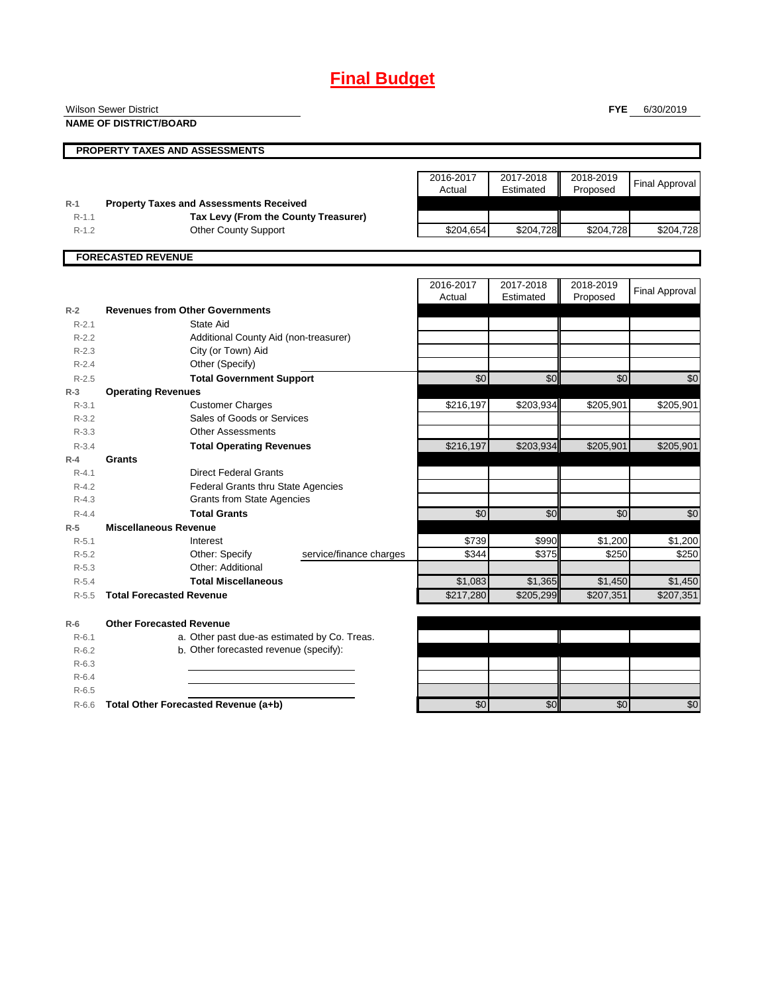# **Final Budget**

|                        | <b>Wilson Sewer District</b>                           |                     |                        | <b>FYE</b>            | 6/30/2019             |
|------------------------|--------------------------------------------------------|---------------------|------------------------|-----------------------|-----------------------|
|                        | <b>NAME OF DISTRICT/BOARD</b>                          |                     |                        |                       |                       |
|                        |                                                        |                     |                        |                       |                       |
|                        | <b>PROPERTY TAXES AND ASSESSMENTS</b>                  |                     |                        |                       |                       |
|                        |                                                        |                     |                        |                       |                       |
|                        |                                                        | 2016-2017<br>Actual | 2017-2018<br>Estimated | 2018-2019<br>Proposed | <b>Final Approval</b> |
| $R-1$                  | <b>Property Taxes and Assessments Received</b>         |                     |                        |                       |                       |
| $R-1.1$                | Tax Levy (From the County Treasurer)                   |                     |                        |                       |                       |
| $R-1.2$                | <b>Other County Support</b>                            | \$204,654           | \$204,728              | \$204,728             | \$204,728             |
|                        |                                                        |                     |                        |                       |                       |
|                        | <b>FORECASTED REVENUE</b>                              |                     |                        |                       |                       |
|                        |                                                        |                     |                        |                       |                       |
|                        |                                                        | 2016-2017           | 2017-2018              | 2018-2019             | <b>Final Approval</b> |
|                        |                                                        | Actual              | Estimated              | Proposed              |                       |
| $R-2$                  | <b>Revenues from Other Governments</b>                 |                     |                        |                       |                       |
| $R - 2.1$              | State Aid                                              |                     |                        |                       |                       |
| $R-2.2$                | Additional County Aid (non-treasurer)                  |                     |                        |                       |                       |
| $R-2.3$                | City (or Town) Aid                                     |                     |                        |                       |                       |
| $R-2.4$                | Other (Specify)                                        |                     |                        |                       |                       |
| $R-2.5$                | <b>Total Government Support</b>                        | \$0                 | \$0                    | \$0                   | \$0                   |
| $R-3$                  | <b>Operating Revenues</b>                              |                     |                        |                       |                       |
| $R - 3.1$              | <b>Customer Charges</b>                                | \$216,197           | \$203,934              | \$205,901             | \$205,901             |
| $R - 3.2$<br>$R - 3.3$ | Sales of Goods or Services<br><b>Other Assessments</b> |                     |                        |                       |                       |
| $R - 3.4$              |                                                        |                     | \$203,934              | \$205,901             | \$205,901             |
| $R-4$                  | <b>Total Operating Revenues</b><br>Grants              | \$216,197           |                        |                       |                       |
| $R - 4.1$              | <b>Direct Federal Grants</b>                           |                     |                        |                       |                       |
| $R - 4.2$              | Federal Grants thru State Agencies                     |                     |                        |                       |                       |
| $R - 4.3$              | <b>Grants from State Agencies</b>                      |                     |                        |                       |                       |
| $R - 4.4$              | <b>Total Grants</b>                                    | \$0                 | \$0                    | \$0                   | \$0                   |
| $R-5$                  | <b>Miscellaneous Revenue</b>                           |                     |                        |                       |                       |
| $R - 5.1$              | Interest                                               | \$739               | \$990                  | \$1,200               | \$1,200               |
| $R-5.2$                | Other: Specify<br>service/finance charges              | \$344               | \$375                  | \$250                 | \$250                 |
| $R-5.3$                | Other: Additional                                      |                     |                        |                       |                       |
| $R-5.4$                | <b>Total Miscellaneous</b>                             | \$1,083             | \$1,365                | \$1,450               | \$1,450               |
| $R - 5.5$              | <b>Total Forecasted Revenue</b>                        | \$217,280           | \$205,299              | \$207,351             | \$207,351             |
|                        |                                                        |                     |                        |                       |                       |
| $R-6$                  | <b>Other Forecasted Revenue</b>                        |                     |                        |                       |                       |
| $R - 6.1$              | a. Other past due-as estimated by Co. Treas.           |                     |                        |                       |                       |
| $R-6.2$                | b. Other forecasted revenue (specify):                 |                     |                        |                       |                       |
| $R-6.3$<br>$R-6.4$     |                                                        |                     |                        |                       |                       |
| $R-6.5$                |                                                        |                     |                        |                       |                       |
| $R-6.6$                | Total Other Forecasted Revenue (a+b)                   | \$0                 | \$0                    | \$0                   | \$0                   |
|                        |                                                        |                     |                        |                       |                       |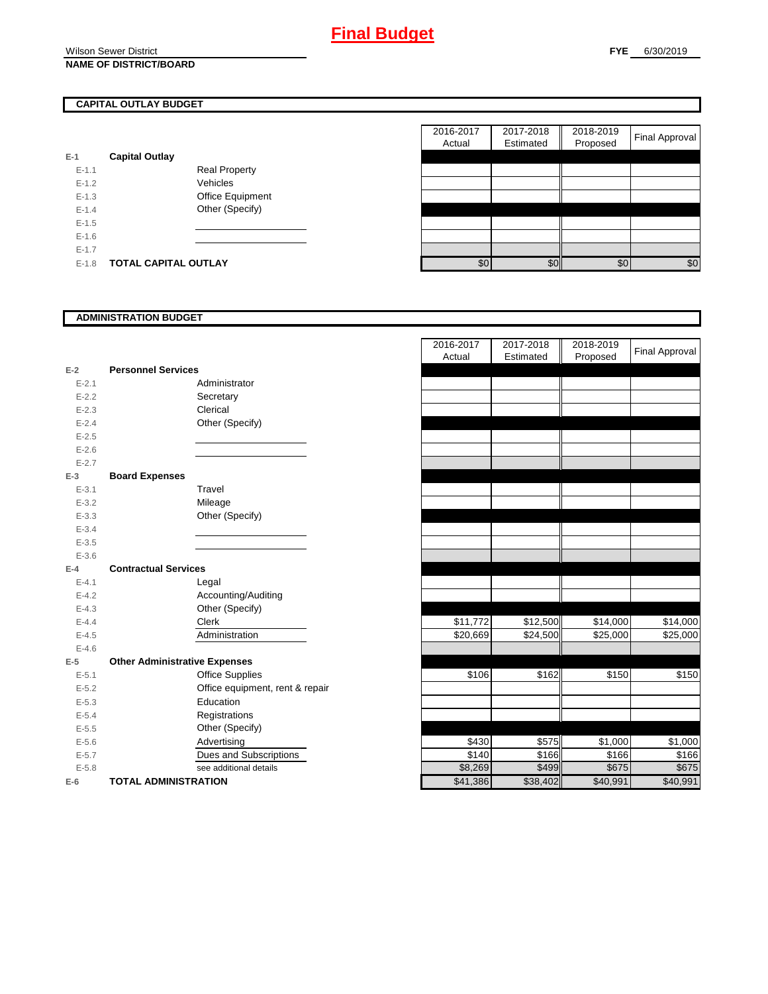# **CAPITAL OUTLAY BUDGET**

| E-1       | <b>Capital Outlay</b> |                         |
|-----------|-----------------------|-------------------------|
| $E - 1.1$ |                       | Real Property           |
| $F-12$    |                       | Vehicles                |
| $F-1.3$   |                       | <b>Office Equipment</b> |
| $F-14$    |                       | Other (Specify)         |
| $E - 1.5$ |                       |                         |
| $E - 1.6$ |                       |                         |
| $E - 1.7$ |                       |                         |
| $E-1.8$   | TOTAL CAPITAL OUTLAY  |                         |

|           |                             |                      | 2016-2017<br>Actual | 2017-2018<br>Estimated | 2018-2019<br>Proposed | Final Approval |
|-----------|-----------------------------|----------------------|---------------------|------------------------|-----------------------|----------------|
|           |                             |                      |                     |                        |                       |                |
|           | <b>Capital Outlay</b>       |                      |                     |                        |                       |                |
| $E-1.1$   |                             | <b>Real Property</b> |                     |                        |                       |                |
| $E-1.2$   |                             | Vehicles             |                     |                        |                       |                |
| $E-1.3$   |                             | Office Equipment     |                     |                        |                       |                |
| $E - 1.4$ |                             | Other (Specify)      |                     |                        |                       |                |
| $E-1.5$   |                             |                      |                     |                        |                       |                |
| $E-1.6$   |                             |                      |                     |                        |                       |                |
| $E - 1.7$ |                             |                      |                     |                        |                       |                |
| $E-1.8$   | <b>TOTAL CAPITAL OUTLAY</b> |                      | \$0                 | \$0                    | \$0                   | \$0            |
|           |                             |                      |                     |                        |                       |                |

# **ADMINISTRATION BUDGET**

| $E-2$     | <b>Personnel Services</b>            | Administrator                   |
|-----------|--------------------------------------|---------------------------------|
| $E - 2.1$ |                                      |                                 |
| $E - 2.2$ |                                      | Secretary                       |
| $E - 2.3$ |                                      | Clerical                        |
| $E - 2.4$ |                                      | Other (Specify)                 |
| $E - 2.5$ |                                      |                                 |
| $E - 2.6$ |                                      |                                 |
| $E - 2.7$ |                                      |                                 |
| $E-3$     | <b>Board Expenses</b>                |                                 |
| $E - 3.1$ |                                      | Travel                          |
| $E - 3.2$ |                                      | Mileage                         |
| $E - 3.3$ |                                      | Other (Specify)                 |
| $E - 3.4$ |                                      |                                 |
| $E - 3.5$ |                                      |                                 |
| $E - 3.6$ |                                      |                                 |
| $E-4$     | <b>Contractual Services</b>          |                                 |
| $E - 4.1$ |                                      | Legal                           |
| $E - 4.2$ |                                      | Accounting/Auditing             |
| $E - 4.3$ |                                      | Other (Specify)                 |
| $E - 4.4$ |                                      | Clerk                           |
| $E - 4.5$ |                                      | Administration                  |
| $E - 4.6$ |                                      |                                 |
| $E-5$     | <b>Other Administrative Expenses</b> |                                 |
| $E - 5.1$ |                                      | <b>Office Supplies</b>          |
| $E - 5.2$ |                                      | Office equipment, rent & repair |
| $E - 5.3$ |                                      | Education                       |
| $E - 5.4$ |                                      | Registrations                   |
| $E - 5.5$ |                                      | Other (Specify)                 |
| $E - 5.6$ |                                      | Advertising                     |
| $E - 5.7$ |                                      | Dues and Subscriptions          |
| $E - 5.8$ |                                      | see additional details          |
| $E-6$     | <b>TOTAL ADMINISTRATION</b>          |                                 |

|           |                                      | 2016-2017<br>Actual | 2017-2018<br>Estimated | 2018-2019<br>Proposed | <b>Final Approval</b> |
|-----------|--------------------------------------|---------------------|------------------------|-----------------------|-----------------------|
| $E-2$     | <b>Personnel Services</b>            |                     |                        |                       |                       |
| $E - 2.1$ | Administrator                        |                     |                        |                       |                       |
| $E - 2.2$ | Secretary                            |                     |                        |                       |                       |
| $E - 2.3$ | Clerical                             |                     |                        |                       |                       |
| $E - 2.4$ | Other (Specify)                      |                     |                        |                       |                       |
| $E - 2.5$ |                                      |                     |                        |                       |                       |
| $E - 2.6$ |                                      |                     |                        |                       |                       |
| $E - 2.7$ |                                      |                     |                        |                       |                       |
| $E-3$     | <b>Board Expenses</b>                |                     |                        |                       |                       |
| $E - 3.1$ | Travel                               |                     |                        |                       |                       |
| $E - 3.2$ | Mileage                              |                     |                        |                       |                       |
| $E - 3.3$ | Other (Specify)                      |                     |                        |                       |                       |
| $E - 3.4$ |                                      |                     |                        |                       |                       |
| $E - 3.5$ |                                      |                     |                        |                       |                       |
| $E - 3.6$ |                                      |                     |                        |                       |                       |
| $E-4$     | <b>Contractual Services</b>          |                     |                        |                       |                       |
| $E - 4.1$ | Legal                                |                     |                        |                       |                       |
| $E - 4.2$ | Accounting/Auditing                  |                     |                        |                       |                       |
| $E - 4.3$ | Other (Specify)                      |                     |                        |                       |                       |
| $E - 4.4$ | Clerk                                | \$11,772            | \$12,500               | \$14,000              | \$14,000              |
| $E - 4.5$ | Administration                       | \$20,669            | \$24,500               | \$25,000              | \$25,000              |
| $E - 4.6$ |                                      |                     |                        |                       |                       |
| $E-5$     | <b>Other Administrative Expenses</b> |                     |                        |                       |                       |
| $E - 5.1$ | <b>Office Supplies</b>               | \$106               | \$162                  | \$150                 | \$150                 |
| $E - 5.2$ | Office equipment, rent & repair      |                     |                        |                       |                       |
| $E - 5.3$ | Education                            |                     |                        |                       |                       |
| $E - 5.4$ | Registrations                        |                     |                        |                       |                       |
| $E-5.5$   | Other (Specify)                      |                     |                        |                       |                       |
| $E - 5.6$ | Advertising                          | \$430               | \$575                  | \$1,000               | \$1,000               |
| $E - 5.7$ | Dues and Subscriptions               | \$140               | \$166                  | \$166                 | \$166                 |
| $E - 5.8$ | see additional details               | \$8,269             | \$499                  | \$675                 | \$675                 |
| $E-6$     | <b>TOTAL ADMINISTRATION</b>          | \$41,386            | \$38,402               | \$40,991              | \$40,991              |
|           |                                      |                     |                        |                       |                       |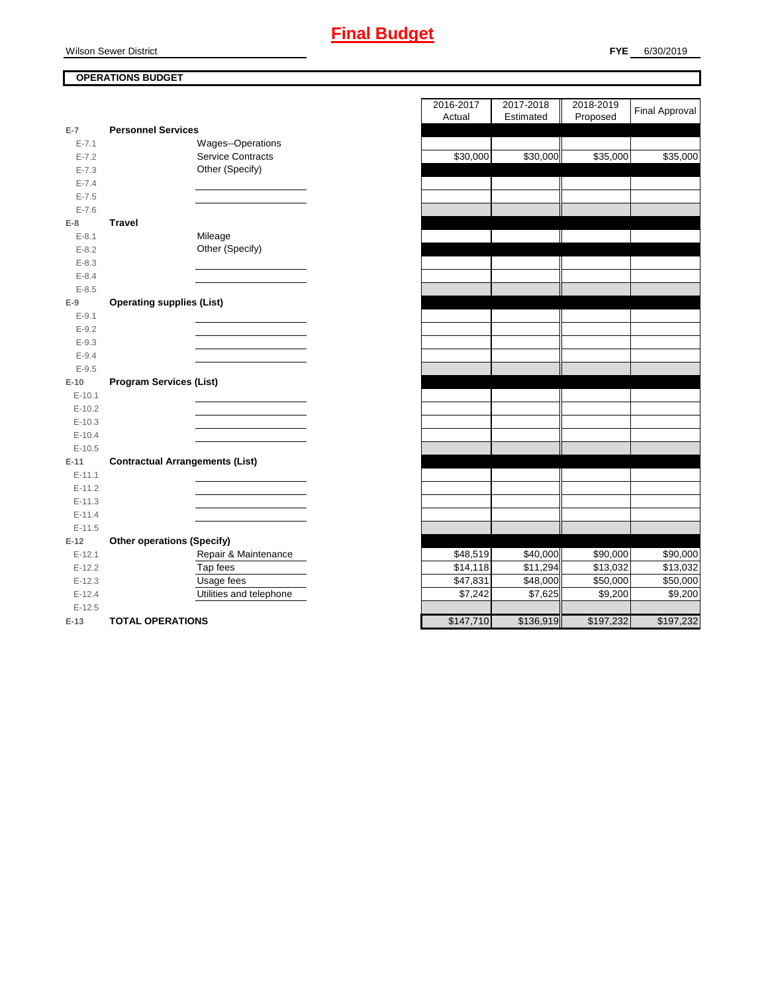# Wilson Sewer District

# **OPERATIONS BUDGET**

|           |                                        |                          | 1.0.001   | $-0.00000$ |
|-----------|----------------------------------------|--------------------------|-----------|------------|
| $E-7$     | <b>Personnel Services</b>              |                          |           |            |
| $E - 7.1$ |                                        | Wages--Operations        |           |            |
| $E - 7.2$ |                                        | <b>Service Contracts</b> | \$30,000  | \$30,000   |
| $E - 7.3$ |                                        | Other (Specify)          |           |            |
| $E - 7.4$ |                                        |                          |           |            |
| $E - 7.5$ |                                        |                          |           |            |
| $E - 7.6$ |                                        |                          |           |            |
| $E-8$     | <b>Travel</b>                          |                          |           |            |
| $E - 8.1$ |                                        | Mileage                  |           |            |
| $E - 8.2$ |                                        | Other (Specify)          |           |            |
| $E - 8.3$ |                                        |                          |           |            |
| $E - 8.4$ |                                        |                          |           |            |
| $E - 8.5$ |                                        |                          |           |            |
| $E-9$     | <b>Operating supplies (List)</b>       |                          |           |            |
| $E - 9.1$ |                                        |                          |           |            |
| $E - 9.2$ |                                        |                          |           |            |
| $E-9.3$   |                                        |                          |           |            |
| $E - 9.4$ |                                        |                          |           |            |
| $E-9.5$   |                                        |                          |           |            |
| $E-10$    | <b>Program Services (List)</b>         |                          |           |            |
| $E-10.1$  |                                        |                          |           |            |
| $E-10.2$  |                                        |                          |           |            |
| $E-10.3$  |                                        |                          |           |            |
| $E-10.4$  |                                        |                          |           |            |
| $E-10.5$  |                                        |                          |           |            |
| $E-11$    | <b>Contractual Arrangements (List)</b> |                          |           |            |
| $E-11.1$  |                                        |                          |           |            |
| $E-11.2$  |                                        |                          |           |            |
| $E-11.3$  |                                        |                          |           |            |
| $E-11.4$  |                                        |                          |           |            |
| $E-11.5$  |                                        |                          |           |            |
| $E-12$    | <b>Other operations (Specify)</b>      |                          |           |            |
| $E-12.1$  |                                        | Repair & Maintenance     | \$48,519  | \$40,000   |
| $E-12.2$  |                                        | Tap fees                 | \$14,118  | \$11,294   |
| $E-12.3$  |                                        | Usage fees               | \$47,831  | \$48,000   |
| $E-12.4$  |                                        | Utilities and telephone  | \$7,242   | \$7,625    |
| $E-12.5$  |                                        |                          |           |            |
| $E-13$    | <b>TOTAL OPERATIONS</b>                |                          | \$147,710 | \$136,919  |

|                |                                        | 2016-2017 | 2017-2018 | 2018-2019       |                       |
|----------------|----------------------------------------|-----------|-----------|-----------------|-----------------------|
|                |                                        | Actual    | Estimated | Proposed        | <b>Final Approval</b> |
| $\overline{7}$ | <b>Personnel Services</b>              |           |           |                 |                       |
| $E - 7.1$      | Wages--Operations                      |           |           |                 |                       |
| $E - 7.2$      | <b>Service Contracts</b>               | \$30,000  | \$30,000  | \$35,000        | \$35,000              |
| $E - 7.3$      | Other (Specify)                        |           |           |                 |                       |
| $E - 7.4$      |                                        |           |           |                 |                       |
| $E - 7.5$      |                                        |           |           |                 |                       |
| $E - 7.6$      |                                        |           |           |                 |                       |
| 8              | <b>Travel</b>                          |           |           |                 |                       |
| $E - 8.1$      | Mileage                                |           |           |                 |                       |
| $E - 8.2$      | Other (Specify)                        |           |           |                 |                       |
| $E - 8.3$      |                                        |           |           |                 |                       |
| $E - 8.4$      |                                        |           |           |                 |                       |
| $E - 8.5$      |                                        |           |           |                 |                       |
| 9              | <b>Operating supplies (List)</b>       |           |           |                 |                       |
| $E-9.1$        |                                        |           |           |                 |                       |
| $E-9.2$        |                                        |           |           |                 |                       |
| $E - 9.3$      |                                        |           |           |                 |                       |
| $E - 9.4$      |                                        |           |           |                 |                       |
| $E-9.5$        |                                        |           |           |                 |                       |
| 10             | <b>Program Services (List)</b>         |           |           |                 |                       |
| $E-10.1$       |                                        |           |           |                 |                       |
| $E-10.2$       |                                        |           |           |                 |                       |
| $E-10.3$       |                                        |           |           |                 |                       |
| $E-10.4$       |                                        |           |           |                 |                       |
| $E-10.5$       |                                        |           |           |                 |                       |
| $-11$          | <b>Contractual Arrangements (List)</b> |           |           |                 |                       |
| $E-11.1$       |                                        |           |           |                 |                       |
| $E-11.2$       |                                        |           |           |                 |                       |
| $E-11.3$       |                                        |           |           |                 |                       |
| $E-11.4$       |                                        |           |           |                 |                       |
| $E-11.5$       |                                        |           |           |                 |                       |
| 12             | <b>Other operations (Specify)</b>      |           |           |                 |                       |
| $E-12.1$       | Repair & Maintenance                   | \$48,519  | \$40,000  | \$90,000        | \$90,000              |
| $E-12.2$       | Tap fees                               | \$14,118  | \$11,294  | \$13,032        | \$13,032              |
| $E-12.3$       | Usage fees                             | \$47,831  | \$48,000  | \$50,000        | \$50,000              |
| $E-12.4$       | Utilities and telephone                | \$7,242   | \$7,625   | \$9,200         | \$9,200               |
| $E-12.5$       |                                        |           |           |                 |                       |
| $42 -$         | TOTAL OPERATIONS                       | 4147710   | \$136010  | <b>C107 232</b> | 40722                 |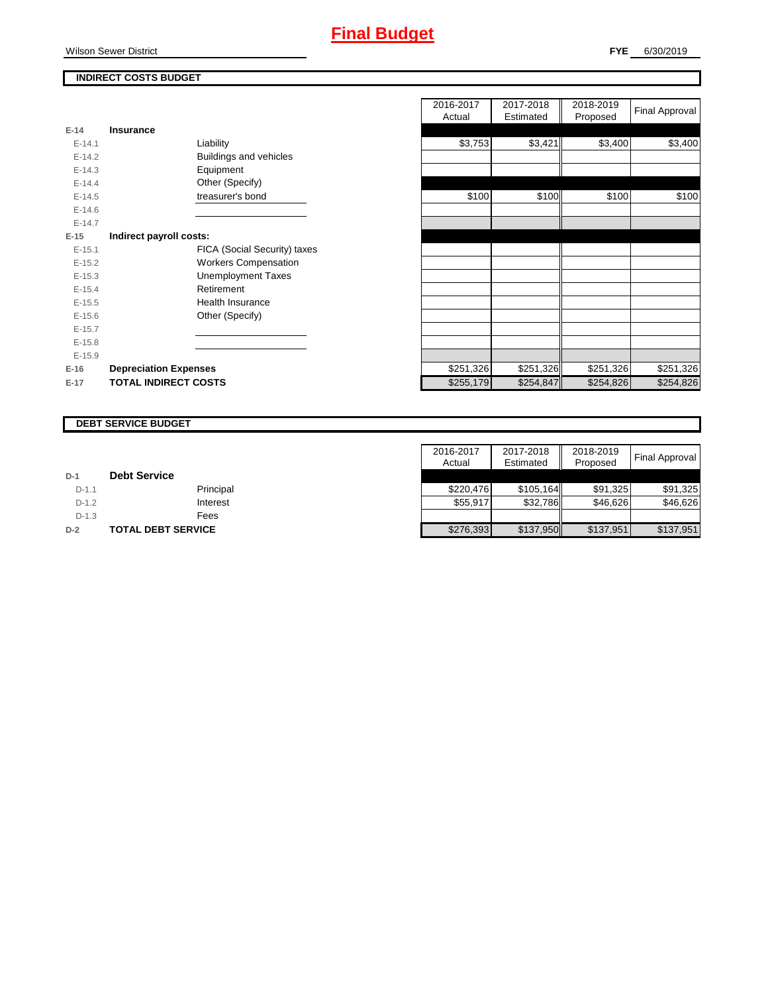# **INDIRECT COSTS BUDGET**

| $E-14$     | Insurance                     |
|------------|-------------------------------|
| $F-141$    | Liability                     |
| $F-142$    | <b>Buildings and vehicles</b> |
| $F-14.3$   | Equipment                     |
| $F-144$    | Other (Specify)               |
| $E-14.5$   | treasurer's bond              |
| $E - 14.6$ |                               |
| $F-147$    |                               |
| $E-15$     | Indirect payroll costs:       |
| $E - 15.1$ | FICA (Social Security) taxes  |
| $E-15.2$   | <b>Workers Compensation</b>   |
| $E-15.3$   | <b>Unemployment Taxes</b>     |
| $E-15.4$   | Retirement                    |
| $E-15.5$   | Health Insurance              |
| $E - 15.6$ | Other (Specify)               |
| $E-15.7$   |                               |
| $E-15.8$   |                               |
| $E-15.9$   |                               |
| $E-16$     | <b>Depreciation Expenses</b>  |
| $E-17$     | <b>TOTAL INDIRECT COSTS</b>   |

|          |                              | 2016-2017<br>Actual | 2017-2018<br>Estimated | 2018-2019<br>Proposed | Final Approval |
|----------|------------------------------|---------------------|------------------------|-----------------------|----------------|
| $E-14$   | <b>Insurance</b>             |                     |                        |                       |                |
| $E-14.1$ | Liability                    | \$3,753             | \$3,421                | \$3,400               | \$3,400        |
| $E-14.2$ | Buildings and vehicles       |                     |                        |                       |                |
| $E-14.3$ | Equipment                    |                     |                        |                       |                |
| $E-14.4$ | Other (Specify)              |                     |                        |                       |                |
| $E-14.5$ | treasurer's bond             | \$100               | \$100                  | \$100                 | \$100          |
| $E-14.6$ |                              |                     |                        |                       |                |
| $E-14.7$ |                              |                     |                        |                       |                |
| $E-15$   | Indirect payroll costs:      |                     |                        |                       |                |
| $E-15.1$ | FICA (Social Security) taxes |                     |                        |                       |                |
| $E-15.2$ | <b>Workers Compensation</b>  |                     |                        |                       |                |
| $E-15.3$ | <b>Unemployment Taxes</b>    |                     |                        |                       |                |
| $E-15.4$ | Retirement                   |                     |                        |                       |                |
| $E-15.5$ | <b>Health Insurance</b>      |                     |                        |                       |                |
| $E-15.6$ | Other (Specify)              |                     |                        |                       |                |
| $E-15.7$ |                              |                     |                        |                       |                |
| $E-15.8$ |                              |                     |                        |                       |                |
| $E-15.9$ |                              |                     |                        |                       |                |
| $E-16$   | <b>Depreciation Expenses</b> | \$251,326           | \$251,326              | \$251,326             | \$251,326      |
| E-17     | <b>TOTAL INDIRECT COSTS</b>  | \$255,179           | \$254,847              | \$254,826             | \$254,826      |
|          |                              |                     |                        |                       |                |

#### **DEBT SERVICE BUDGET**

|         |                           | 2016-2017 | 2017-2018 | 2018-2019 |                |
|---------|---------------------------|-----------|-----------|-----------|----------------|
|         |                           | Actual    | Estimated | Proposed  | Final Approval |
| $D-1$   | <b>Debt Service</b>       |           |           |           |                |
| $D-1.1$ | Principal                 | \$220.476 | \$105.164 | \$91.325  | \$91.325       |
| $D-1.2$ | Interest                  | \$55.917  | \$32,786  | \$46,626  | \$46,626       |
| $D-1.3$ | Fees                      |           |           |           |                |
| $D-2$   | <b>TOTAL DEBT SERVICE</b> | \$276,393 | \$137,950 | \$137.951 | \$137,951      |

# Wilson Sewer District